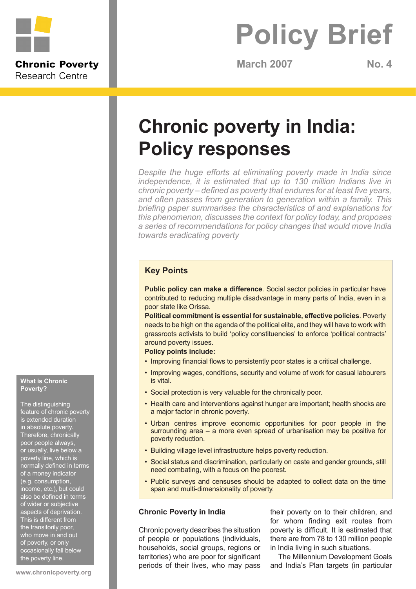

**Research Centre** 

# **Policy Brief**

**March 2007 No. 4**

# **Chronic poverty in India: Policy responses**

*Despite the huge efforts at eliminating poverty made in India since independence, it is estimated that up to 130 million Indians live in chronic poverty – defined as poverty that endures for at least five years, and often passes from generation to generation within a family. This briefing paper summarises the characteristics of and explanations for this phenomenon, discusses the context for policy today, and proposes a series of recommendations for policy changes that would move India towards eradicating poverty*

# **Key Points**

**Public policy can make a difference**. Social sector policies in particular have contributed to reducing multiple disadvantage in many parts of India, even in a poor state like Orissa.

**Political commitment is essential for sustainable, effective policies**. Poverty needs to be high on the agenda of the political elite, and they will have to work with grassroots activists to build 'policy constituencies' to enforce 'political contracts' around poverty issues.

# **Policy points include:**

- Improving financial flows to persistently poor states is a critical challenge.
- Improving wages, conditions, security and volume of work for casual labourers is vital.
- Social protection is very valuable for the chronically poor.
- Health care and interventions against hunger are important; health shocks are a major factor in chronic poverty.
- Urban centres improve economic opportunities for poor people in the surrounding area – a more even spread of urbanisation may be positive for poverty reduction.
- Building village level infrastructure helps poverty reduction.
- Social status and discrimination, particularly on caste and gender grounds, still need combating, with a focus on the poorest.
- Public surveys and censuses should be adapted to collect data on the time span and multi-dimensionality of poverty.

# **Chronic Poverty in India**

Chronic poverty describes the situation of people or populations (individuals, households, social groups, regions or territories) who are poor for significant periods of their lives, who may pass

their poverty on to their children, and for whom finding exit routes from poverty is difficult. It is estimated that there are from 78 to 130 million people in India living in such situations.

The Millennium Development Goals and India's Plan targets (in particular

#### **What is Chronic Poverty?**

The distinguishing feature of chronic poverty is extended duration in absolute povert Therefore, chronically poor people always, or usually, live below a poverty line, which is normally defined in terms of a money indicator (e.g. consumption, income, etc.), but could also be defined in terms of wider or subjective aspects of deprivation. This is different from the transitorily poor, who move in and out of poverty, or only occasionally fall below the poverty line.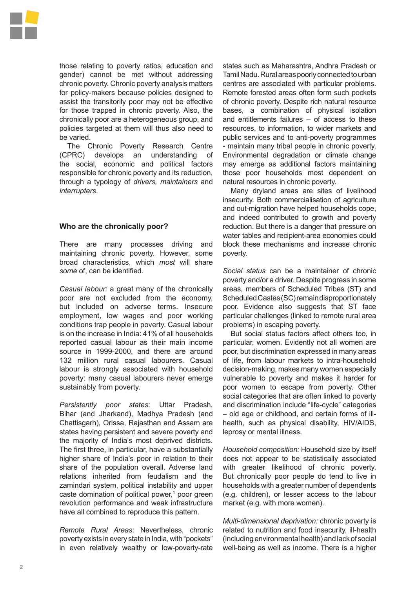

those relating to poverty ratios, education and gender) cannot be met without addressing chronic poverty. Chronic poverty analysis matters for policy-makers because policies designed to assist the transitorily poor may not be effective for those trapped in chronic poverty. Also, the chronically poor are a heterogeneous group, and policies targeted at them will thus also need to be varied.

The Chronic Poverty Research Centre (CPRC) develops an understanding of the social, economic and political factors responsible for chronic poverty and its reduction, through a typology of *drivers, maintainers* and *interrupters*.

# **Who are the chronically poor?**

There are many processes driving and maintaining chronic poverty. However, some broad characteristics, which *most* will share *some* of, can be identified.

*Casual labour:* a great many of the chronically poor are not excluded from the economy, but included on adverse terms. Insecure employment, low wages and poor working conditions trap people in poverty. Casual labour is on the increase in India: 41% of all households reported casual labour as their main income source in 1999-2000, and there are around 132 million rural casual labourers. Casual labour is strongly associated with household poverty: many casual labourers never emerge sustainably from poverty.

*Persistently poor states*: Uttar Pradesh, Bihar (and Jharkand), Madhya Pradesh (and Chattisgarh), Orissa, Rajasthan and Assam are states having persistent and severe poverty and the majority of India's most deprived districts. The first three, in particular, have a substantially higher share of India's poor in relation to their share of the population overall. Adverse land relations inherited from feudalism and the zamindari system, political instability and upper caste domination of political power,<sup>1</sup> poor green revolution performance and weak infrastructure have all combined to reproduce this pattern.

*Remote Rural Areas*: Nevertheless, chronic poverty exists in every state in India, with "pockets" in even relatively wealthy or low-poverty-rate states such as Maharashtra, Andhra Pradesh or Tamil Nadu. Rural areas poorly connected to urban centres are associated with particular problems. Remote forested areas often form such pockets of chronic poverty. Despite rich natural resource bases, a combination of physical isolation and entitlements failures – of access to these resources, to information, to wider markets and public services and to anti-poverty programmes - maintain many tribal people in chronic poverty. Environmental degradation or climate change may emerge as additional factors maintaining those poor households most dependent on natural resources in chronic poverty.

Many dryland areas are sites of livelihood insecurity. Both commercialisation of agriculture and out-migration have helped households cope, and indeed contributed to growth and poverty reduction. But there is a danger that pressure on water tables and recipient-area economies could block these mechanisms and increase chronic poverty.

*Social status* can be a maintainer of chronic poverty and/or a driver. Despite progress in some areas, members of Scheduled Tribes (ST) and Scheduled Castes (SC) remain disproportionately poor. Evidence also suggests that ST face particular challenges (linked to remote rural area problems) in escaping poverty.

But social status factors affect others too, in particular, women. Evidently not all women are poor, but discrimination expressed in many areas of life, from labour markets to intra-household decision-making, makes many women especially vulnerable to poverty and makes it harder for poor women to escape from poverty. Other social categories that are often linked to poverty and discrimination include "life-cycle" categories – old age or childhood, and certain forms of illhealth, such as physical disability, HIV/AIDS, leprosy or mental illness.

*Household composition:* Household size by itself does not appear to be statistically associated with greater likelihood of chronic poverty. But chronically poor people do tend to live in households with a greater number of dependents (e.g. children), or lesser access to the labour market (e.g. with more women).

*Multi-dimensional deprivation:* chronic poverty is related to nutrition and food insecurity, ill-health (including environmental health) and lack of social well-being as well as income. There is a higher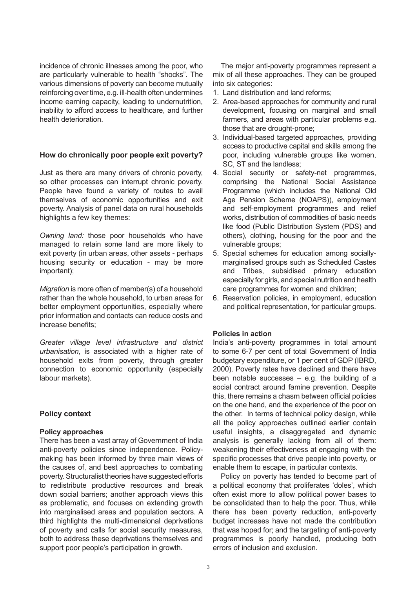incidence of chronic illnesses among the poor, who are particularly vulnerable to health "shocks". The various dimensions of poverty can become mutually reinforcing over time, e.g. ill-health often undermines income earning capacity, leading to undernutrition, inability to afford access to healthcare, and further health deterioration.

# **How do chronically poor people exit poverty?**

Just as there are many drivers of chronic poverty, so other processes can interrupt chronic poverty. People have found a variety of routes to avail themselves of economic opportunities and exit poverty. Analysis of panel data on rural households highlights a few key themes:

*Owning land:* those poor households who have managed to retain some land are more likely to exit poverty (in urban areas, other assets - perhaps housing security or education - may be more important);

*Migration* is more often of member(s) of a household rather than the whole household, to urban areas for better employment opportunities, especially where prior information and contacts can reduce costs and increase benefits;

*Greater village level infrastructure and district urbanisation*, is associated with a higher rate of household exits from poverty, through greater connection to economic opportunity (especially labour markets).

# **Policy context**

## **Policy approaches**

There has been a vast array of Government of India anti-poverty policies since independence. Policymaking has been informed by three main views of the causes of, and best approaches to combating poverty. Structuralist theories have suggested efforts to redistribute productive resources and break down social barriers; another approach views this as problematic, and focuses on extending growth into marginalised areas and population sectors. A third highlights the multi-dimensional deprivations of poverty and calls for social security measures, both to address these deprivations themselves and support poor people's participation in growth.

The major anti-poverty programmes represent a mix of all these approaches. They can be grouped into six categories:

- Land distribution and land reforms; 1.
- Area-based approaches for community and rural 2. development, focusing on marginal and small farmers, and areas with particular problems e.g. those that are drought-prone;
- 3. Individual-based targeted approaches, providing access to productive capital and skills among the poor, including vulnerable groups like women, SC, ST and the landless;
- 4. Social security or safety-net programmes, comprising the National Social Assistance Programme (which includes the National Old Age Pension Scheme (NOAPS)), employment and self-employment programmes and relief works, distribution of commodities of basic needs like food (Public Distribution System (PDS) and others), clothing, housing for the poor and the vulnerable groups;
- 5. Special schemes for education among sociallymarginalised groups such as Scheduled Castes and Tribes, subsidised primary education especially for girls, and special nutrition and health care programmes for women and children;
- 6. Reservation policies, in employment, education and political representation, for particular groups.

## **Policies in action**

India's anti-poverty programmes in total amount to some 6-7 per cent of total Government of India budgetary expenditure, or 1 per cent of GDP (IBRD, 2000). Poverty rates have declined and there have been notable successes  $-$  e.g. the building of a social contract around famine prevention. Despite this, there remains a chasm between official policies on the one hand, and the experience of the poor on the other. In terms of technical policy design, while all the policy approaches outlined earlier contain useful insights, a disaggregated and dynamic analysis is generally lacking from all of them: weakening their effectiveness at engaging with the specific processes that drive people into poverty, or enable them to escape, in particular contexts.

Policy on poverty has tended to become part of a political economy that proliferates 'doles', which often exist more to allow political power bases to be consolidated than to help the poor. Thus, while there has been poverty reduction, anti-poverty budget increases have not made the contribution that was hoped for; and the targeting of anti-poverty programmes is poorly handled, producing both errors of inclusion and exclusion.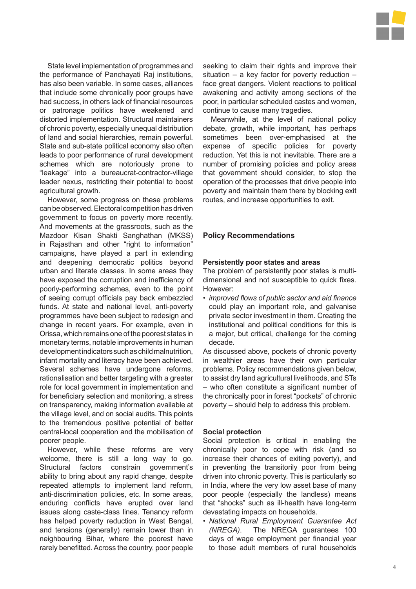

State level implementation of programmes and the performance of Panchayati Raj institutions, has also been variable. In some cases, alliances that include some chronically poor groups have had success, in others lack of financial resources or patronage politics have weakened and distorted implementation. Structural maintainers of chronic poverty, especially unequal distribution of land and social hierarchies, remain powerful. State and sub-state political economy also often leads to poor performance of rural development schemes which are notoriously prone to "leakage" into a bureaucrat-contractor-village leader nexus, restricting their potential to boost agricultural growth.

However, some progress on these problems can be observed. Electoral competition has driven government to focus on poverty more recently. And movements at the grassroots, such as the Mazdoor Kisan Shakti Sanghathan (MKSS) in Rajasthan and other "right to information" campaigns, have played a part in extending and deepening democratic politics beyond urban and literate classes. In some areas they have exposed the corruption and inefficiency of poorly-performing schemes, even to the point of seeing corrupt officials pay back embezzled funds. At state and national level, anti-poverty programmes have been subject to redesign and change in recent years. For example, even in Orissa, which remains one of the poorest states in monetary terms, notable improvements in human development indicators such as child malnutrition, infant mortality and literacy have been achieved. Several schemes have undergone reforms, rationalisation and better targeting with a greater role for local government in implementation and for beneficiary selection and monitoring, a stress on transparency, making information available at the village level, and on social audits. This points to the tremendous positive potential of better central-local cooperation and the mobilisation of poorer people.

However, while these reforms are very welcome, there is still a long way to go. Structural factors constrain government's ability to bring about any rapid change, despite repeated attempts to implement land reform, anti-discrimination policies, etc. In some areas, enduring conflicts have erupted over land issues along caste-class lines. Tenancy reform has helped poverty reduction in West Bengal, and tensions (generally) remain lower than in neighbouring Bihar, where the poorest have rarely benefitted. Across the country, poor people seeking to claim their rights and improve their situation – a key factor for poverty reduction – face great dangers. Violent reactions to political awakening and activity among sections of the poor, in particular scheduled castes and women, continue to cause many tragedies.

Meanwhile, at the level of national policy debate, growth, while important, has perhaps sometimes been over-emphasised at the expense of specific policies for poverty reduction. Yet this is not inevitable. There are a number of promising policies and policy areas that government should consider, to stop the operation of the processes that drive people into poverty and maintain them there by blocking exit routes, and increase opportunities to exit.

## **Policy Recommendations**

#### **Persistently poor states and areas**

The problem of persistently poor states is multidimensional and not susceptible to quick fixes. However:

*improved flows of public sector and aid finance •* could play an important role, and galvanise private sector investment in them. Creating the institutional and political conditions for this is a major, but critical, challenge for the coming decade.

As discussed above, pockets of chronic poverty in wealthier areas have their own particular problems. Policy recommendations given below, to assist dry land agricultural livelihoods, and STs – who often constitute a significant number of the chronically poor in forest "pockets" of chronic poverty – should help to address this problem.

## **Social protection**

Social protection is critical in enabling the chronically poor to cope with risk (and so increase their chances of exiting poverty), and in preventing the transitorily poor from being driven into chronic poverty. This is particularly so in India, where the very low asset base of many poor people (especially the landless) means that "shocks" such as ill-health have long-term devastating impacts on households.

*National Rural Employment Guarantee Act •(NREGA)*. The NREGA guarantees 100 days of wage employment per financial year to those adult members of rural households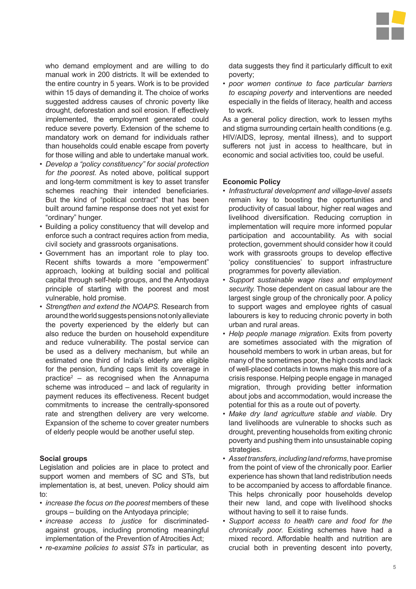

who demand employment and are willing to do manual work in 200 districts. It will be extended to the entire country in 5 years. Work is to be provided within 15 days of demanding it. The choice of works suggested address causes of chronic poverty like drought, deforestation and soil erosion. If effectively implemented, the employment generated could reduce severe poverty. Extension of the scheme to mandatory work on demand for individuals rather than households could enable escape from poverty for those willing and able to undertake manual work.

- *Develop a "policy constituency" for social protection • for the poorest.* As noted above, political support and long-term commitment is key to asset transfer schemes reaching their intended beneficiaries. But the kind of "political contract" that has been built around famine response does not yet exist for "ordinary" hunger.
- Building a policy constituency that will develop and enforce such a contract requires action from media, civil society and grassroots organisations.
- Government has an important role to play too. Recent shifts towards a more "empowerment" approach, looking at building social and political capital through self-help groups, and the Antyodaya principle of starting with the poorest and most vulnerable, hold promise.
- *Strengthen and extend the NOAPS.* Research from *•* around the world suggests pensions not only alleviate the poverty experienced by the elderly but can also reduce the burden on household expenditure and reduce vulnerability. The postal service can be used as a delivery mechanism, but while an estimated one third of India's elderly are eligible for the pension, funding caps limit its coverage in practice2 – as recognised when the Annapurna scheme was introduced – and lack of regularity in payment reduces its effectiveness. Recent budget commitments to increase the centrally-sponsored rate and strengthen delivery are very welcome. Expansion of the scheme to cover greater numbers of elderly people would be another useful step.

## **Social groups**

Legislation and policies are in place to protect and support women and members of SC and STs, but implementation is, at best, uneven. Policy should aim to:

- *increase the focus on the poorest* members of these *•* groups – building on the Antyodaya principle;
- *increase access to justice* for discriminated-*•* against groups, including promoting meaningful implementation of the Prevention of Atrocities Act;
- *re-examine policies to assist STs* in particular, as *•*

data suggests they find it particularly difficult to exit poverty;

*poor women continue to face particular barriers • to escaping poverty* and interventions are needed especially in the fields of literacy, health and access to work.

As a general policy direction, work to lessen myths and stigma surrounding certain health conditions (e.g. HIV/AIDS, leprosy, mental illness), and to support sufferers not just in access to healthcare, but in economic and social activities too, could be useful.

#### **Economic Policy**

- *Infrastructural development and village-level assets •* remain key to boosting the opportunities and productivity of casual labour, higher real wages and livelihood diversification. Reducing corruption in implementation will require more informed popular participation and accountability. As with social protection, government should consider how it could work with grassroots groups to develop effective 'policy constituencies' to support infrastructure programmes for poverty alleviation.
- *Support sustainable wage rises and employment • security.* Those dependent on casual labour are the largest single group of the chronically poor. A policy to support wages and employee rights of casual labourers is key to reducing chronic poverty in both urban and rural areas.
- *Help people manage migration.* Exits from poverty *•* are sometimes associated with the migration of household members to work in urban areas, but for many of the sometimes poor, the high costs and lack of well-placed contacts in towns make this more of a crisis response. Helping people engage in managed migration, through providing better information about jobs and accommodation, would increase the potential for this as a route out of poverty.
- *Make dry land agriculture stable and viable.* Dry *•* land livelihoods are vulnerable to shocks such as drought, preventing households from exiting chronic poverty and pushing them into unsustainable coping strategies.
- *Asset transfers, including land reforms*, have promise *•* from the point of view of the chronically poor. Earlier experience has shown that land redistribution needs to be accompanied by access to affordable finance. This helps chronically poor households develop their new land, and cope with livelihood shocks without having to sell it to raise funds.
- *Support access to health care and food for the •chronically poor.* Existing schemes have had a mixed record. Affordable health and nutrition are crucial both in preventing descent into poverty,